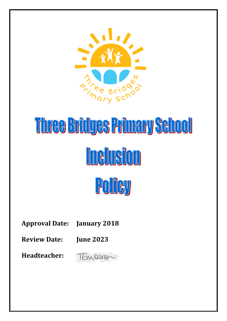

# Three Bridges Primary School **Inclusion** Policy

**Approval Date: January 2018**

**Review Date: June 2023**

**Headteacher:** 

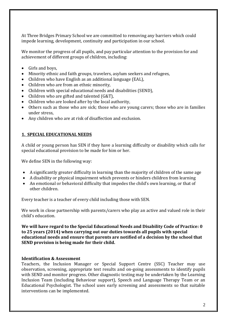At Three Bridges Primary School we are committed to removing any barriers which could impede learning, development, continuity and participation in our school.

We monitor the progress of all pupils, and pay particular attention to the provision for and achievement of different groups of children, including:

- Girls and boys,
- Minority ethnic and faith groups, travelers, asylum seekers and refugees,
- Children who have English as an additional language (EAL),
- Children who are from an ethnic minority,
- Children with special educational needs and disabilities (SEND),
- Children who are gifted and talented (G&T),
- Children who are looked after by the local authority,
- Others such as those who are sick; those who are young carers; those who are in families under stress,
- Any children who are at risk of disaffection and exclusion.

# **1. SPECIAL EDUCATIONAL NEEDS**

A child or young person has SEN if they have a learning difficulty or disability which calls for special educational provision to be made for him or her.

We define SEN in the following way:

- A significantly greater difficulty in learning than the majority of children of the same age
- A disability or physical impairment which prevents or hinders children from learning
- An emotional or behavioral difficulty that impedes the child's own learning, or that of other children.

Every teacher is a teacher of every child including those with SEN.

We work in close partnership with parents/carers who play an active and valued role in their child's education.

**We will have regard to the Special Educational Needs and Disability Code of Practice: 0 to 25 years (2014) when carrying out our duties towards all pupils with special educational needs and ensure that parents are notified of a decision by the school that SEND provision is being made for their child.**

#### **Identification & Assessment**

Teachers, the Inclusion Manager or Special Support Centre (SSC) Teacher may use observation, screening, appropriate test results and on-going assessments to identify pupils with SEND and monitor progress. Other diagnostic testing may be undertaken by the Learning Inclusion Team (including Behaviour support), Speech and Language Therapy Team or an Educational Psychologist. The school uses early screening and assessments so that suitable interventions can be implemented.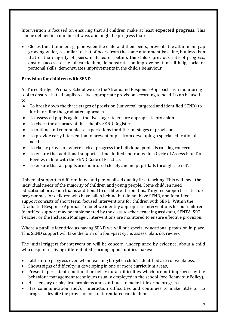Intervention is focused on ensuring that all children make at least **expected progress.** This can be defined in a number of ways and might be progress that:

 Closes the attainment gap between the child and their peers, prevents the attainment gap growing wider, is similar to that of peers from the same attainment baseline, but less than that of the majority of peers, matches or betters the child's previous rate of progress, ensures access to the full curriculum, demonstrates an improvement in self-help, social or personal skills, demonstrates improvements in the child's behaviour.

# **Provision for children with SEND**

At Three Bridges Primary School we use the 'Graduated Response Approach' as a monitoring tool to ensure that all pupils receive appropriate provision according to need. It can be used to:

- To break down the three stages of provision (universal, targeted and identified SEND) to further refine the graduated approach
- To assess all pupils against the five stages to ensure appropriate provision
- To check the accuracy of the school's SEND Register
- To outline and communicate expectations for different stages of provision
- To provide early intervention to prevent pupils from developing a special educational need
- To clarify provision where lack of progress for individual pupils is causing concern
- To ensure that additional support is time limited and rooted in a Cycle of Assess Plan Do Review, in line with the SEND Code of Practice.
- To ensure that all pupils are monitored closely and no pupil 'falls through the net'.

Universal support is differentiated and personalised quality first teaching. This will meet the individual needs of the majority of children and young people. Some children need educational provision that is additional to or different from this. Targeted support is catch up programmes for children who have fallen behind but do not have SEND, and Identified support consists of short term, focused interventions for children with SEND. Within the 'Graduated Response Approach' model we identify appropriate interventions for our children. Identified support may be implemented by the class teacher, teaching assistant, SENTA, SSC Teacher or the Inclusion Manager. Interventions are monitored to ensure effective provision.

Where a pupil is identified as having SEND we will put special educational provision in place. This SEND support will take the form of a four-part cycle: assess, plan, do, review.

The initial triggers for intervention will be concern, underpinned by evidence, about a child who despite receiving differentiated learning opportunities makes:

- Little or no progress even when teaching targets a child's identified area of weakness,
- Shows signs of difficulty in developing in one or more curriculum areas,
- Presents persistent emotional or behavioural difficulties which are not improved by the behaviour management techniques usually employed in the school (see Behaviour Policy),
- Has sensory or physical problems and continues to make little or no progress,
- Has communication and/or interaction difficulties and continues to make little or no progress despite the provision of a differentiated curriculum.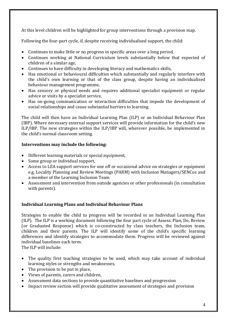At this level children will be highlighted for group interventions through a provision map.

Following the four-part cycle, if, despite receiving individualised support, the child:

- Continues to make little or no progress in specific areas over a long period,
- Continues working at National Curriculum levels substantially below that expected of children of a similar age,
- Continues to have difficulty in developing literacy and mathematics skills,
- Has emotional or behavioural difficulties which substantially and regularly interfere with the child's own learning or that of the class group, despite having an individualised behaviour management programme,
- Has sensory or physical needs and requires additional specialist equipment or regular advice or visits by a specialist service,
- Has on-going communication or interaction difficulties that impede the development of social relationships and cause substantial barriers to learning.

The child will then have an Individual Learning Plan (ILP) or an Individual Behaviour Plan (IBP). Where necessary external support services will provide information for the child's new ILP/IBP. The new strategies within the ILP/IBP will, wherever possible, be implemented in the child's normal classroom setting.

# **Interventions may include the following:**

- Different learning materials or special equipment,
- Some group or individual support,
- Access to LEA support services for one off or occasional advice on strategies or equipment e.g. Locality Planning and Review Meetings (PARM) with Inclusion Managers/SENCos and a member of the Learning Inclusion Team
- Assessment and intervention from outside agencies or other professionals (in consultation with parents).

# **Individual Learning Plans and Individual Behaviour Plans**

Strategies to enable the child to progress will be recorded in an Individual Learning Plan (ILP). The ILP is a working document following the four part cycle of Assess. Plan, Do, Review (or Graduated Response) which is co-constructed by class teachers, the Inclusion team, children and their parents. The ILP will identify some of the child's specific learning differences and identify strategies to accommodate them. Progress will be reviewed against individual baselines each term.

The ILP will include:

- The quality first teaching strategies to be used, which may take account of individual learning styles or strengths and weaknesses,
- The provision to be put in place.
- Views of parents, carers and children,
- Assessment data sections to provide quantitative baselines and progression
- Impact review section will provide qualitative assessment of strategies and provision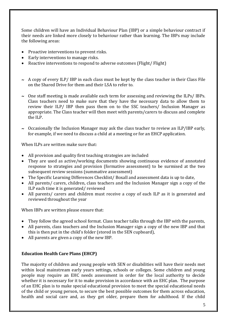Some children will have an Individual Behaviour Plan (IBP) or a simple behaviour contract if their needs are linked more closely to behaviour rather than learning. The IBPs may include the following areas:

- Proactive interventions to prevent risks.
- Early interventions to manage risks.
- Reactive interventions to respond to adverse outcomes (Flight/ Flight)
- $\sim$  A copy of every ILP/ IBP in each class must be kept by the class teacher in their Class File on the Shared Drive for them and their LSA to refer to.
- $\sim$  0ne staff meeting is made available each term for assessing and reviewing the ILPs/ IBPs. Class teachers need to make sure that they have the necessary data to allow them to review their ILP/ IBP then pass them on to the SSC teachers/ Inclusion Manager as appropriate. The Class teacher will then meet with parents/carers to discuss and complete the ILP.
- $\sim$  Occasionally the Inclusion Manager may ask the class teacher to review an ILP/IBP early, for example, if we need to discuss a child at a meeting or for an EHCP application.

When ILPs are written make sure that:

- All provision and quality first teaching strategies are included
- They are used as active/working documents showing continuous evidence of annotated response to strategies and provision (formative assessment) to be surmised at the two subsequent review sessions (summative assessment)
- The Specific Learning Differences Checklist/ Boxall and assessment data is up to date,
- All parents/ carers, children, class teachers and the Inclusion Manager sign a copy of the ILP each time it is generated/ reviewed
- All parents/ carers and children must receive a copy of each ILP as it is generated and reviewed throughout the year

When IBPs are written please ensure that:

- They follow the agreed school format. Class teacher talks through the IBP with the parents,
- All parents, class teachers and the Inclusion Manager sign a copy of the new IBP and that this is then put in the child's folder (stored in the SEN cupboard),
- All parents are given a copy of the new IBP.

# **Education Health Care Plans (EHCP)**

The majority of children and young people with SEN or disabilities will have their needs met within local mainstream early years settings, schools or colleges. Some children and young people may require an EHC needs assessment in order for the local authority to decide whether it is necessary for it to make provision in accordance with an EHC plan. The purpose of an EHC plan is to make special educational provision to meet the special educational needs of the child or young person, to secure the best possible outcomes for them across education, health and social care and, as they get older, prepare them for adulthood. If the child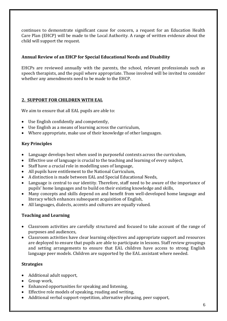continues to demonstrate significant cause for concern, a request for an Education Health Care Plan (EHCP) will be made to the Local Authority. A range of written evidence about the child will support the request.

## **Annual Review of an EHCP for Special Educational Needs and Disability**

EHCPs are reviewed annually with the parents, the school, relevant professionals such as speech therapists, and the pupil where appropriate. Those involved will be invited to consider whether any amendments need to be made to the EHCP.

# **2. SUPPORT FOR CHILDREN WITH EAL**

We aim to ensure that all EAL pupils are able to:

- Use English confidently and competently,
- Use English as a means of learning across the curriculum,
- Where appropriate, make use of their knowledge of other languages.

# **Key Principles**

- Language develops best when used in purposeful contexts across the curriculum,
- Effective use of language is crucial to the teaching and learning of every subject,
- Staff have a crucial role in modelling uses of language,
- All pupils have entitlement to the National Curriculum,
- A distinction is made between EAL and Special Educational Needs,
- Language is central to our identity. Therefore, staff need to be aware of the importance of pupils' home languages and to build on their existing knowledge and skills,
- Many concepts and skills depend on and benefit from well-developed home language and literacy which enhances subsequent acquisition of English,
- All languages, dialects, accents and cultures are equally valued.

# **Teaching and Learning**

- Classroom activities are carefully structured and focused to take account of the range of purposes and audiences,
- Classroom activities have clear learning objectives and appropriate support and resources are deployed to ensure that pupils are able to participate in lessons. Staff review groupings and setting arrangements to ensure that EAL children have access to strong English language peer models. Children are supported by the EAL assistant where needed.

# **Strategies**

- Additional adult support,
- Group work,
- Enhanced opportunities for speaking and listening,
- Effective role models of speaking, reading and writing,
- Additional verbal support-repetition, alternative phrasing, peer support,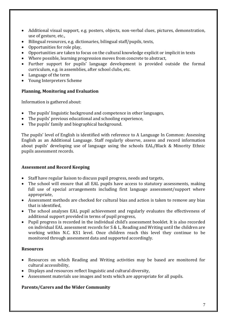- Additional visual support, e.g. posters, objects, non-verbal clues, pictures, demonstration, use of gesture, etc.,
- Bilingual resources, e.g. dictionaries, bilingual staff/pupils, texts,
- Opportunities for role play,
- Opportunities are taken to focus on the cultural knowledge explicit or implicit in texts
- Where possible, learning progression moves from concrete to abstract,
- Further support for pupils' language development is provided outside the formal curriculum, e.g. in assemblies, after school clubs, etc.
- Language of the term
- Young Interpreters Scheme

#### **Planning, Monitoring and Evaluation**

Information is gathered about:

- The pupils' linguistic background and competence in other languages,
- The pupils' previous educational and schooling experience,
- The pupils' family and biographical background.

The pupils' level of English is identified with reference to A Language In Common: Assessing English as an Additional Language. Staff regularly observe, assess and record information about pupils' developing use of language using the schools EAL/Black & Minority Ethnic pupils assessment records.

#### **Assessment and Record Keeping**

- Staff have regular liaison to discuss pupil progress, needs and targets,
- The school will ensure that all EAL pupils have access to statutory assessments, making full use of special arrangements including first language assessment/support where appropriate,
- Assessment methods are checked for cultural bias and action is taken to remove any bias that is identified,
- The school analyses EAL pupil achievement and regularly evaluates the effectiveness of additional support provided in terms of pupil progress,
- Pupil progress is recorded in the individual child's assessment booklet. It is also recorded on individual EAL assessment records for S & L, Reading and Writing until the children are working within N.C. KS1 level. Once children reach this level they continue to be monitored through assessment data and supported accordingly.

#### **Resources**

- Resources on which Reading and Writing activities may be based are monitored for cultural accessibility,
- Displays and resources reflect linguistic and cultural diversity,
- Assessment materials use images and texts which are appropriate for all pupils.

# **Parents/Carers and the Wider Community**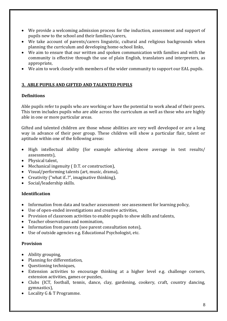- We provide a welcoming admission process for the induction, assessment and support of pupils new to the school and their families/carers,
- We take account of parents/carers linguistic, cultural and religious backgrounds when planning the curriculum and developing home-school links,
- We aim to ensure that our written and spoken communication with families and with the community is effective through the use of plain English, translators and interpreters, as appropriate,
- We aim to work closely with members of the wider community to support our EAL pupils.

# **3. ABLE PUPILS AND GIFTED AND TALENTED PUPILS**

# **Definitions**

Able pupils refer to pupils who are working or have the potential to work ahead of their peers. This term includes pupils who are able across the curriculum as well as those who are highly able in one or more particular areas.

Gifted and talented children are those whose abilities are very well developed or are a long way in advance of their peer group. These children will show a particular flair, talent or aptitude within one of the following areas:

- High intellectual ability (for example achieving above average in test results/ assessments),
- Physical talent,
- Mechanical ingenuity ( D.T. or construction),
- Visual/performing talents (art, music, drama),
- Creativity ("what if..?", imaginative thinking),
- Social/leadership skills.

#### **Identification**

- Information from data and teacher assessment- see assessment for learning policy,
- Use of open-ended investigations and creative activities,
- Provision of classroom activities to enable pupils to show skills and talents,
- Teacher observations and nomination.
- Information from parents (see parent consultation notes),
- Use of outside agencies e.g. Educational Psychologist, etc.

#### **Provision**

- Ability grouping,
- Planning for differentiation,
- Ouestioning techniques,
- Extension activities to encourage thinking at a higher level e.g. challenge corners, extension activities, games or puzzles,
- Clubs (ICT, football, tennis, dance, clay, gardening, cookery, craft, country dancing, gymnastics),
- Locality G & T Programme.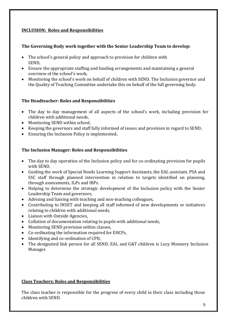# **INCLUSION: Roles and Responsibilities**

# **The Governing Body work together with the Senior Leadership Team to develop:**

- The school's general policy and approach to provision for children with SEND,
- Ensure the appropriate staffing and funding arrangements and maintaining a general overview of the school's work,
- Monitoring the school's work on behalf of children with SEND. The Inclusion governor and the Quality of Teaching Committee undertake this on behalf of the full governing body.

# **The Headteacher: Roles and Responsibilities**

- The day to day management of all aspects of the school's work, including provision for children with additional needs,
- Monitoring SEND within school,
- Keeping the governors and staff fully informed of issues and provision in regard to SEND,
- Ensuring the Inclusion Policy is implemented**.**

# **The Inclusion Manager: Roles and Responsibilities**

- The day to day operation of the Inclusion policy and for co-ordinating provision for pupils with SEND,
- Guiding the work of Special Needs Learning Support Assistants, the EAL assistant, PSA and SSC staff through planned intervention in relation to targets identified on planning, through assessments, ILPs and IBPs.
- Helping to determine the strategic development of the Inclusion policy with the Senior Leadership Team and governors,
- Advising and liaising with teaching and non-teaching colleagues,
- Contributing to INSET and keeping all staff informed of new developments or initiatives relating to children with additional needs,
- Liaison with Outside Agencies,
- Collation of documentation relating to pupils with additional needs,
- Monitoring SEND provision within classes,
- Co-ordinating the information required for EHCPs,
- Identifying and co-ordination of CPD.
- The designated link person for all SEND, EAL and G&T children is Lucy Monnery Inclusion Manager.

# **Class Teachers: Roles and Responsibilities**

The class teacher is responsible for the progress of every child in their class including those children with SEND.